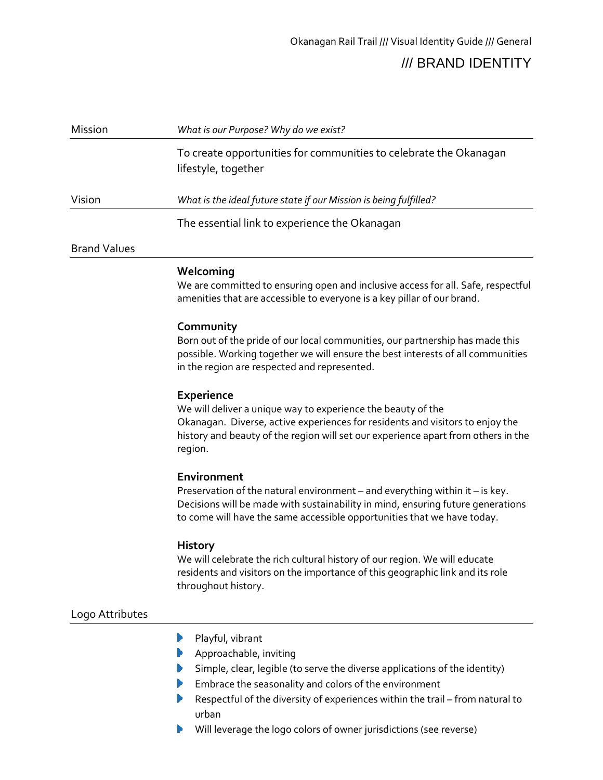| <b>Mission</b>      | What is our Purpose? Why do we exist?                                                    |  |
|---------------------|------------------------------------------------------------------------------------------|--|
|                     | To create opportunities for communities to celebrate the Okanagan<br>lifestyle, together |  |
| Vision              | What is the ideal future state if our Mission is being fulfilled?                        |  |
|                     | The essential link to experience the Okanagan                                            |  |
| <b>Brand Values</b> |                                                                                          |  |

## **Welcoming**

We are committed to ensuring open and inclusive access for all. Safe, respectful amenities that are accessible to everyone is a key pillar of our brand.

## **Community**

Born out of the pride of our local communities, our partnership has made this possible. Working together we will ensure the best interests of all communities in the region are respected and represented.

## **Experience**

We will deliver a unique way to experience the beauty of the Okanagan. Diverse, active experiences for residents and visitors to enjoy the history and beauty of the region will set our experience apart from others in the region.

#### **Environment**

Preservation of the natural environment – and everything within it – is key. Decisions will be made with sustainability in mind, ensuring future generations to come will have the same accessible opportunities that we have today.

#### **History**

We will celebrate the rich cultural history of our region. We will educate residents and visitors on the importance of this geographic link and its role throughout history.

# Logo Attributes

- Playful, vibrant
- Approachable, inviting
- Simple, clear, legible (to serve the diverse applications of the identity)
- Embrace the seasonality and colors of the environment
- Respectful of the diversity of experiences within the trail from natural to urban
- Will leverage the logo colors of owner jurisdictions (see reverse)